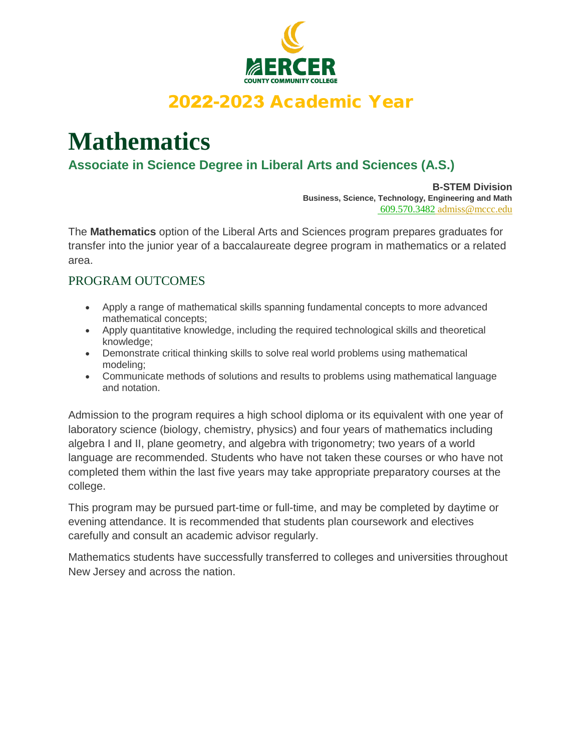

### 2022-2023 Academic Year

# **Mathematics**

#### **Associate in Science Degree in Liberal Arts and Sciences (A.S.)**

**B-STEM Division Business, Science, Technology, Engineering and Math** 609.570.3482 admiss@mccc.edu

The **Mathematics** option of the Liberal Arts and Sciences program prepares graduates for transfer into the junior year of a baccalaureate degree program in mathematics or a related area.

#### PROGRAM OUTCOMES

- Apply a range of mathematical skills spanning fundamental concepts to more advanced mathematical concepts;
- Apply quantitative knowledge, including the required technological skills and theoretical knowledge;
- Demonstrate critical thinking skills to solve real world problems using mathematical modeling;
- Communicate methods of solutions and results to problems using mathematical language and notation.

Admission to the program requires a high school diploma or its equivalent with one year of laboratory science (biology, chemistry, physics) and four years of mathematics including algebra I and II, plane geometry, and algebra with trigonometry; two years of a world language are recommended. Students who have not taken these courses or who have not completed them within the last five years may take appropriate preparatory courses at the college.

This program may be pursued part-time or full-time, and may be completed by daytime or evening attendance. It is recommended that students plan coursework and electives carefully and consult an academic advisor regularly.

Mathematics students have successfully transferred to colleges and universities throughout New Jersey and across the nation.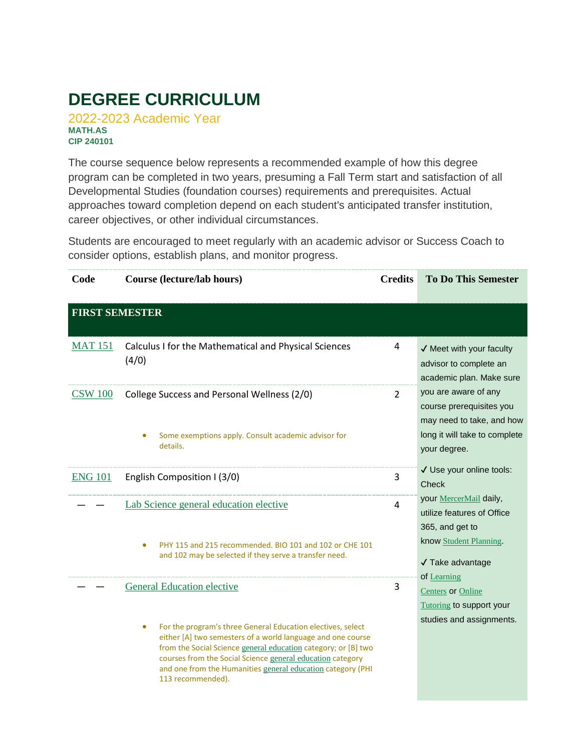## **DEGREE CURRICULUM**

2022-2023 Academic Year **MATH.AS CIP 240101**

The course sequence below represents a recommended example of how this degree program can be completed in two years, presuming a Fall Term start and satisfaction of all Developmental Studies (foundation courses) requirements and prerequisites. Actual approaches toward completion depend on each student's anticipated transfer institution, career objectives, or other individual circumstances.

Students are encouraged to meet regularly with an academic advisor or Success Coach to consider options, establish plans, and monitor progress.

| Code                  | <b>Course (lecture/lab hours)</b>                                                                                                                                                                                                                                                                                                                           | <b>Credits</b> | <b>To Do This Semester</b>                                                                                                     |
|-----------------------|-------------------------------------------------------------------------------------------------------------------------------------------------------------------------------------------------------------------------------------------------------------------------------------------------------------------------------------------------------------|----------------|--------------------------------------------------------------------------------------------------------------------------------|
| <b>FIRST SEMESTER</b> |                                                                                                                                                                                                                                                                                                                                                             |                |                                                                                                                                |
| <b>MAT 151</b>        | Calculus I for the Mathematical and Physical Sciences<br>(4/0)                                                                                                                                                                                                                                                                                              | 4              | $\checkmark$ Meet with your faculty<br>advisor to complete an<br>academic plan. Make sure                                      |
| <b>CSW 100</b>        | College Success and Personal Wellness (2/0)<br>Some exemptions apply. Consult academic advisor for<br>details.                                                                                                                                                                                                                                              | $\overline{2}$ | you are aware of any<br>course prerequisites you<br>may need to take, and how<br>long it will take to complete<br>your degree. |
| <b>ENG 101</b>        | English Composition I (3/0)                                                                                                                                                                                                                                                                                                                                 | 3              | √ Use your online tools:<br>Check                                                                                              |
|                       | Lab Science general education elective<br>PHY 115 and 215 recommended. BIO 101 and 102 or CHE 101<br>٠<br>and 102 may be selected if they serve a transfer need.                                                                                                                                                                                            | $\overline{4}$ | your MercerMail daily,<br>utilize features of Office<br>365, and get to<br>know Student Planning.<br>√ Take advantage          |
|                       | <b>General Education elective</b>                                                                                                                                                                                                                                                                                                                           | 3              | of Learning<br>Centers or Online<br>Tutoring to support your                                                                   |
|                       | For the program's three General Education electives, select<br>$\bullet$<br>either [A] two semesters of a world language and one course<br>from the Social Science general education category; or [B] two<br>courses from the Social Science general education category<br>and one from the Humanities general education category (PHI<br>113 recommended). |                | studies and assignments.                                                                                                       |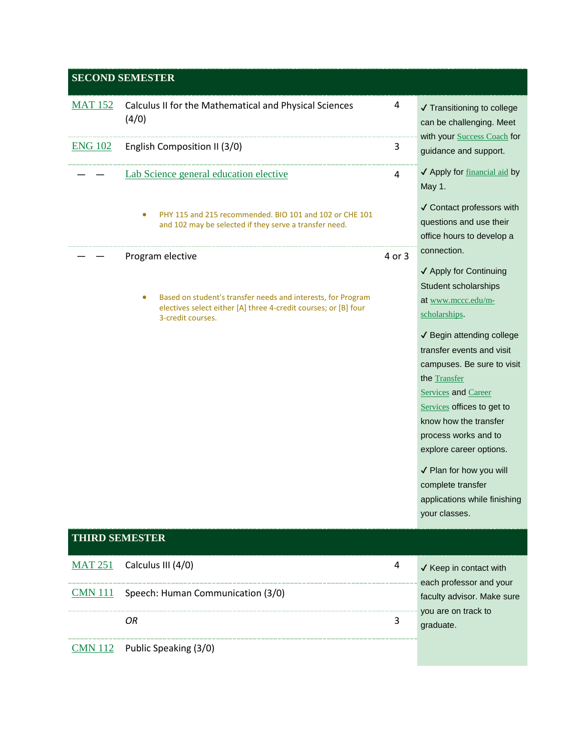|                       | <b>SECOND SEMESTER</b>                                                                                                                                                        |        |                                                                                                                                                                                                                                                                                                                                                                                                                                                       |
|-----------------------|-------------------------------------------------------------------------------------------------------------------------------------------------------------------------------|--------|-------------------------------------------------------------------------------------------------------------------------------------------------------------------------------------------------------------------------------------------------------------------------------------------------------------------------------------------------------------------------------------------------------------------------------------------------------|
| <b>MAT 152</b>        | Calculus II for the Mathematical and Physical Sciences<br>(4/0)                                                                                                               | 4      | ✔ Transitioning to college<br>can be challenging. Meet<br>with your Success Coach for                                                                                                                                                                                                                                                                                                                                                                 |
| <b>ENG 102</b>        | English Composition II (3/0)                                                                                                                                                  | 3      | guidance and support.                                                                                                                                                                                                                                                                                                                                                                                                                                 |
|                       | Lab Science general education elective                                                                                                                                        | 4      | ✔ Apply for financial aid by<br>May 1.                                                                                                                                                                                                                                                                                                                                                                                                                |
|                       | PHY 115 and 215 recommended. BIO 101 and 102 or CHE 101<br>and 102 may be selected if they serve a transfer need.                                                             |        | √ Contact professors with<br>questions and use their<br>office hours to develop a                                                                                                                                                                                                                                                                                                                                                                     |
|                       | Program elective<br>Based on student's transfer needs and interests, for Program<br>٠<br>electives select either [A] three 4-credit courses; or [B] four<br>3-credit courses. | 4 or 3 | connection.<br>✔ Apply for Continuing<br>Student scholarships<br>at www.mccc.edu/m-<br>scholarships.<br>√ Begin attending college<br>transfer events and visit<br>campuses. Be sure to visit<br>the Transfer<br><b>Services</b> and Career<br>Services offices to get to<br>know how the transfer<br>process works and to<br>explore career options.<br>√ Plan for how you will<br>complete transfer<br>applications while finishing<br>your classes. |
| <b>THIRD SEMESTER</b> |                                                                                                                                                                               |        |                                                                                                                                                                                                                                                                                                                                                                                                                                                       |
| <b>MAT 251</b>        | Calculus III (4/0)                                                                                                                                                            | 4      | √ Keep in contact with<br>each professor and your                                                                                                                                                                                                                                                                                                                                                                                                     |
| <b>CMN 111</b>        | Speech: Human Communication (3/0)                                                                                                                                             |        | faculty advisor. Make sure                                                                                                                                                                                                                                                                                                                                                                                                                            |
|                       | OR                                                                                                                                                                            | 3      | you are on track to<br>graduate.                                                                                                                                                                                                                                                                                                                                                                                                                      |
| <b>CMN 112</b>        | Public Speaking (3/0)                                                                                                                                                         |        |                                                                                                                                                                                                                                                                                                                                                                                                                                                       |